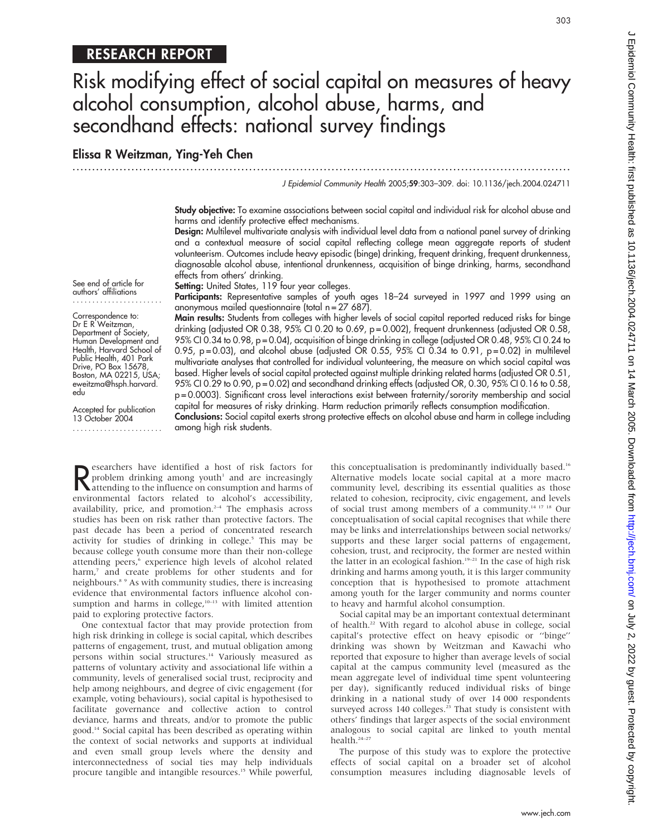# RESEARCH REPORT

# Risk modifying effect of social capital on measures of heavy alcohol consumption, alcohol abuse, harms, and secondhand effects: national survey findings

## Elissa R Weitzman, Ying-Yeh Chen

...............................................................................................................................

J Epidemiol Community Health 2005;59:303–309. doi: 10.1136/jech.2004.024711

Study objective: To examine associations between social capital and individual risk for alcohol abuse and harms and identify protective effect mechanisms.

Design: Multilevel multivariate analysis with individual level data from a national panel survey of drinking and a contextual measure of social capital reflecting college mean aggregate reports of student volunteerism. Outcomes include heavy episodic (binge) drinking, frequent drinking, frequent drunkenness, diagnosable alcohol abuse, intentional drunkenness, acquisition of binge drinking, harms, secondhand effects from others' drinking.

Setting: United States, 119 four year colleges.

Participants: Representative samples of youth ages 18-24 surveyed in 1997 and 1999 using an anonymous mailed questionnaire (total n = 27 687).

Main results: Students from colleges with higher levels of social capital reported reduced risks for binge drinking (adjusted OR 0.38, 95% CI 0.20 to 0.69, p = 0.002), frequent drunkenness (adjusted OR 0.58, 95% CI 0.34 to 0.98, p = 0.04), acquisition of binge drinking in college (adjusted OR 0.48, 95% CI 0.24 to 0.95,  $p = 0.03$ ), and alcohol abuse (adjusted OR 0.55, 95% CI 0.34 to 0.91,  $p = 0.02$ ) in multilevel multivariate analyses that controlled for individual volunteering, the measure on which social capital was based. Higher levels of social capital protected against multiple drinking related harms (adjusted OR 0.51, 95% CI 0.29 to 0.90, p = 0.02) and secondhand drinking effects (adjusted OR, 0.30, 95% CI 0.16 to 0.58, p = 0.0003). Significant cross level interactions exist between fraternity/sorority membership and social capital for measures of risky drinking. Harm reduction primarily reflects consumption modification.

Conclusions: Social capital exerts strong protective effects on alcohol abuse and harm in college including among high risk students.

References have identified a host of risk factors for<br>problem drinking among youth<sup>1</sup> and are increasingly<br>attending to the influence on consumption and harms of esearchers have identified a host of risk factors for problem drinking among youth<sup>1</sup> and are increasingly environmental factors related to alcohol's accessibility, availability, price, and promotion. $2-4$  The emphasis across studies has been on risk rather than protective factors. The past decade has been a period of concentrated research activity for studies of drinking in college.<sup>5</sup> This may be because college youth consume more than their non-college attending peers,<sup>6</sup> experience high levels of alcohol related harm,<sup>7</sup> and create problems for other students and for neighbours.8 9 As with community studies, there is increasing evidence that environmental factors influence alcohol consumption and harms in college,<sup>10-13</sup> with limited attention paid to exploring protective factors.

One contextual factor that may provide protection from high risk drinking in college is social capital, which describes patterns of engagement, trust, and mutual obligation among persons within social structures.<sup>14</sup> Variously measured as patterns of voluntary activity and associational life within a community, levels of generalised social trust, reciprocity and help among neighbours, and degree of civic engagement (for example, voting behaviours), social capital is hypothesised to facilitate governance and collective action to control deviance, harms and threats, and/or to promote the public good.14 Social capital has been described as operating within the context of social networks and supports at individual and even small group levels where the density and interconnectedness of social ties may help individuals procure tangible and intangible resources.<sup>15</sup> While powerful, this conceptualisation is predominantly individually based.<sup>16</sup> Alternative models locate social capital at a more macro community level, describing its essential qualities as those related to cohesion, reciprocity, civic engagement, and levels of social trust among members of a community.14 17 18 Our conceptualisation of social capital recognises that while there may be links and interrelationships between social networks/ supports and these larger social patterns of engagement, cohesion, trust, and reciprocity, the former are nested within the latter in an ecological fashion.<sup>19–21</sup> In the case of high risk drinking and harms among youth, it is this larger community conception that is hypothesised to promote attachment among youth for the larger community and norms counter to heavy and harmful alcohol consumption.

Social capital may be an important contextual determinant of health.<sup>22</sup> With regard to alcohol abuse in college, social capital's protective effect on heavy episodic or ''binge'' drinking was shown by Weitzman and Kawachi who reported that exposure to higher than average levels of social capital at the campus community level (measured as the mean aggregate level of individual time spent volunteering per day), significantly reduced individual risks of binge drinking in a national study of over 14 000 respondents surveyed across 140 colleges.<sup>23</sup> That study is consistent with others' findings that larger aspects of the social environment analogous to social capital are linked to youth mental health.24–27

The purpose of this study was to explore the protective effects of social capital on a broader set of alcohol consumption measures including diagnosable levels of

See end of article for authors' affiliations ....................... Correspondence to:

Dr E R Weitzman, Department of Society, Human Development and Health, Harvard School of Public Health, 401 Park Drive, PO Box 15678, Boston, MA 02215, USA; eweitzma@hsph.harvard. edu

Accepted for publication 13 October 2004 .......................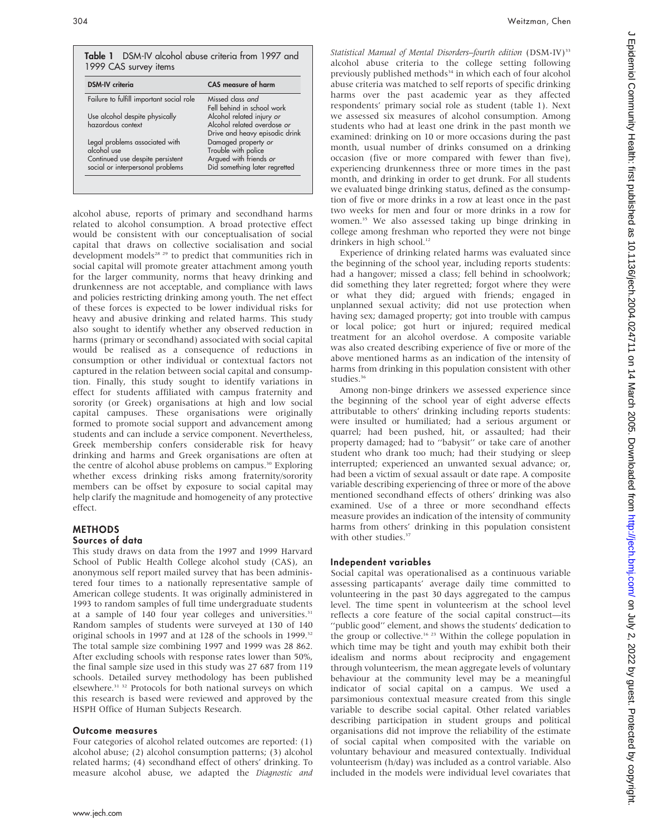| Table 1 DSM-IV alcohol abuse criteria from 1997 and<br>1999 CAS survey items |                                                |
|------------------------------------------------------------------------------|------------------------------------------------|
| <b>DSM-IV</b> criteria                                                       | <b>CAS</b> measure of harm                     |
| Failure to fulfill important social role                                     | Missed class and<br>Fell behind in school work |
| Use alcohol despite physically                                               | Alcohol related injury or                      |
| hazardous context                                                            | Alcohol related overdose or                    |
|                                                                              | Drive and heavy episodic drink                 |
| Legal problems associated with                                               | Damaged property or                            |
| alcohol use                                                                  | Trouble with police                            |
| Continued use despite persistent                                             | Arqued with friends or                         |

Argued with friends or Did something later regretted

social or interpersonal problems

alcohol abuse, reports of primary and secondhand harms related to alcohol consumption. A broad protective effect would be consistent with our conceptualisation of social capital that draws on collective socialisation and social development models<sup>28</sup> <sup>29</sup> to predict that communities rich in social capital will promote greater attachment among youth for the larger community, norms that heavy drinking and drunkenness are not acceptable, and compliance with laws and policies restricting drinking among youth. The net effect of these forces is expected to be lower individual risks for heavy and abusive drinking and related harms. This study also sought to identify whether any observed reduction in harms (primary or secondhand) associated with social capital would be realised as a consequence of reductions in consumption or other individual or contextual factors not captured in the relation between social capital and consumption. Finally, this study sought to identify variations in effect for students affiliated with campus fraternity and sorority (or Greek) organisations at high and low social capital campuses. These organisations were originally formed to promote social support and advancement among students and can include a service component. Nevertheless, Greek membership confers considerable risk for heavy drinking and harms and Greek organisations are often at the centre of alcohol abuse problems on campus.<sup>30</sup> Exploring whether excess drinking risks among fraternity/sorority members can be offset by exposure to social capital may help clarify the magnitude and homogeneity of any protective effect.

#### METHODS Sources of data

This study draws on data from the 1997 and 1999 Harvard School of Public Health College alcohol study (CAS), an anonymous self report mailed survey that has been administered four times to a nationally representative sample of American college students. It was originally administered in 1993 to random samples of full time undergraduate students at a sample of 140 four year colleges and universities.<sup>31</sup> Random samples of students were surveyed at 130 of 140 original schools in 1997 and at 128 of the schools in 1999.<sup>32</sup> The total sample size combining 1997 and 1999 was 28 862. After excluding schools with response rates lower than 50%, the final sample size used in this study was 27 687 from 119 schools. Detailed survey methodology has been published elsewhere.31 32 Protocols for both national surveys on which this research is based were reviewed and approved by the HSPH Office of Human Subjects Research.

#### Outcome measures

Four categories of alcohol related outcomes are reported: (1) alcohol abuse; (2) alcohol consumption patterns; (3) alcohol related harms; (4) secondhand effect of others' drinking. To measure alcohol abuse, we adapted the Diagnostic and Statistical Manual of Mental Disorders-fourth edition (DSM-IV)<sup>33</sup> alcohol abuse criteria to the college setting following previously published methods<sup>34</sup> in which each of four alcohol abuse criteria was matched to self reports of specific drinking harms over the past academic year as they affected respondents' primary social role as student (table 1). Next we assessed six measures of alcohol consumption. Among students who had at least one drink in the past month we examined: drinking on 10 or more occasions during the past month, usual number of drinks consumed on a drinking occasion (five or more compared with fewer than five), experiencing drunkenness three or more times in the past month, and drinking in order to get drunk. For all students we evaluated binge drinking status, defined as the consumption of five or more drinks in a row at least once in the past two weeks for men and four or more drinks in a row for women.35 We also assessed taking up binge drinking in college among freshman who reported they were not binge drinkers in high school.<sup>12</sup>

Experience of drinking related harms was evaluated since the beginning of the school year, including reports students: had a hangover; missed a class; fell behind in schoolwork; did something they later regretted; forgot where they were or what they did; argued with friends; engaged in unplanned sexual activity; did not use protection when having sex; damaged property; got into trouble with campus or local police; got hurt or injured; required medical treatment for an alcohol overdose. A composite variable was also created describing experience of five or more of the above mentioned harms as an indication of the intensity of harms from drinking in this population consistent with other studies.<sup>36</sup>

Among non-binge drinkers we assessed experience since the beginning of the school year of eight adverse effects attributable to others' drinking including reports students: were insulted or humiliated; had a serious argument or quarrel; had been pushed, hit, or assaulted; had their property damaged; had to ''babysit'' or take care of another student who drank too much; had their studying or sleep interrupted; experienced an unwanted sexual advance; or, had been a victim of sexual assault or date rape. A composite variable describing experiencing of three or more of the above mentioned secondhand effects of others' drinking was also examined. Use of a three or more secondhand effects measure provides an indication of the intensity of community harms from others' drinking in this population consistent with other studies.<sup>37</sup>

#### Independent variables

Social capital was operationalised as a continuous variable assessing particapants' average daily time committed to volunteering in the past 30 days aggregated to the campus level. The time spent in volunteerism at the school level reflects a core feature of the social capital construct—its ''public good'' element, and shows the students' dedication to the group or collective.<sup>16 23</sup> Within the college population in which time may be tight and youth may exhibit both their idealism and norms about reciprocity and engagement through volunteerism, the mean aggregate levels of voluntary behaviour at the community level may be a meaningful indicator of social capital on a campus. We used a parsimonious contextual measure created from this single variable to describe social capital. Other related variables describing participation in student groups and political organisations did not improve the reliability of the estimate of social capital when composited with the variable on voluntary behaviour and measured contextually. Individual volunteerism (h/day) was included as a control variable. Also included in the models were individual level covariates that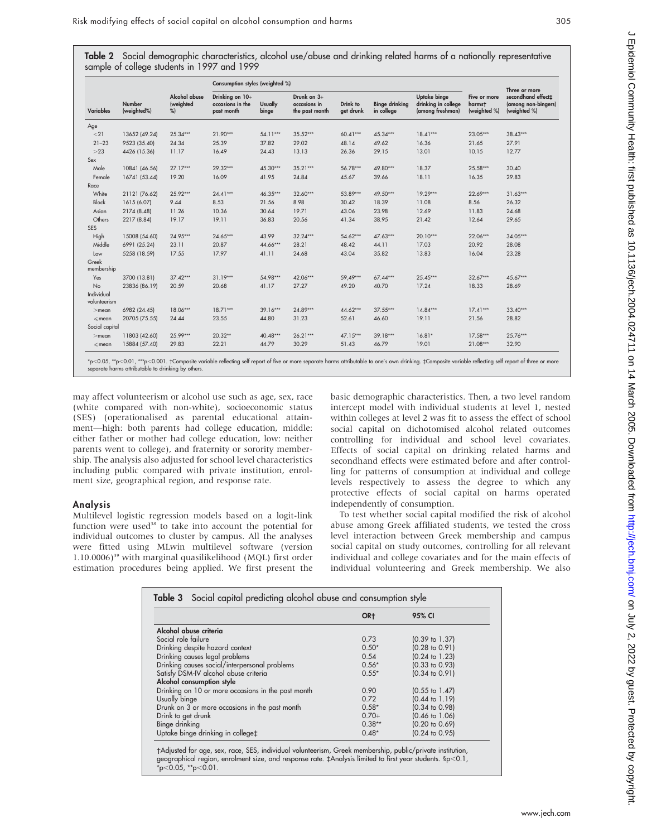Table 2 Social demographic characteristics, alcohol use/abuse and drinking related harms of a nationally representative sample of college students in 1997 and 1999

|                            | Number<br>(weighted%) | Alcohol abuse<br>(weighted<br>%) | Consumption styles (weighted %)<br>Three or more  |                         |                                                 |                       |                                     |                                                                |                                        |                                                                       |
|----------------------------|-----------------------|----------------------------------|---------------------------------------------------|-------------------------|-------------------------------------------------|-----------------------|-------------------------------------|----------------------------------------------------------------|----------------------------------------|-----------------------------------------------------------------------|
| Variables                  |                       |                                  | Drinking on 10+<br>occasions in the<br>past month | <b>Usually</b><br>binge | Drunk on $3+$<br>occasions in<br>the past month | Drink to<br>get drunk | <b>Binge drinking</b><br>in college | <b>Uptake binge</b><br>drinking in college<br>(among freshman) | Five or more<br>harmst<br>(weighted %) | secondhand effect <sup>+</sup><br>(among non-bingers)<br>(weighted %) |
| Age                        |                       |                                  |                                                   |                         |                                                 |                       |                                     |                                                                |                                        |                                                                       |
| $<$ 21                     | 13652 (49.24)         | 25.34***                         | $21.90***$                                        | 54.11***                | 35.52***                                        | $60.41***$            | 45.34***                            | $18.41***$                                                     | 23.05***                               | 38.43***                                                              |
| $21 - 23$                  | 9523 (35.40)          | 24.34                            | 25.39                                             | 37.82                   | 29.02                                           | 48.14                 | 49.62                               | 16.36                                                          | 21.65                                  | 27.91                                                                 |
| $>23$                      | 4426 (15.36)          | 11.17                            | 16.49                                             | 24.43                   | 13.13                                           | 26.36                 | 29.15                               | 13.01                                                          | 10.15                                  | 12.77                                                                 |
| Sex                        |                       |                                  |                                                   |                         |                                                 |                       |                                     |                                                                |                                        |                                                                       |
| Male                       | 10841 (46.56)         | $27.17***$                       | $29.32***$                                        | 45.30***                | $35.21***$                                      | 56.78***              | 49.80***                            | 18.37                                                          | 25.58***                               | 30.40                                                                 |
| Female                     | 16741 (53.44)         | 19.20                            | 16.09                                             | 41.95                   | 24.84                                           | 45.67                 | 39.66                               | 18.11                                                          | 16.35                                  | 29.83                                                                 |
| Race                       |                       |                                  |                                                   |                         |                                                 |                       |                                     |                                                                |                                        |                                                                       |
| White                      | 21121 (76.62)         | $25.92***$                       | $24.41***$                                        | 46.35***                | $32.60***$                                      | 53.89***              | 49.50***                            | $19.29***$                                                     | 22.69***                               | $31.63***$                                                            |
| <b>Black</b>               | 1615 (6.07)           | 9.44                             | 8.53                                              | 21.56                   | 8.98                                            | 30.42                 | 18.39                               | 11.08                                                          | 8.56                                   | 26.32                                                                 |
| Asian                      | 2174 (8.48)           | 11.26                            | 10.36                                             | 30.64                   | 19.71                                           | 43.06                 | 23.98                               | 12.69                                                          | 11.83                                  | 24.68                                                                 |
| Others                     | 2217 (8.84)           | 19.17                            | 19.11                                             | 36.83                   | 20.56                                           | 41.34                 | 38.95                               | 21.42                                                          | 12.64                                  | 29.65                                                                 |
| <b>SES</b>                 |                       |                                  |                                                   |                         |                                                 |                       |                                     |                                                                |                                        |                                                                       |
| High                       | 15008 (54.60)         | 24.95***                         | $24.65***$                                        | 43.99                   | 32.24***                                        | 54.62***              | 47.63***                            | $20.10***$                                                     | 22.06***                               | 34.05***                                                              |
| Middle                     | 6991 (25.24)          | 23.11                            | 20.87                                             | 44.66***                | 28.21                                           | 48.42                 | 44.11                               | 17.03                                                          | 20.92                                  | 28.08                                                                 |
| Low                        | 5258 (18.59)          | 17.55                            | 17.97                                             | 41.11                   | 24.68                                           | 43.04                 | 35.82                               | 13.83                                                          | 16.04                                  | 23.28                                                                 |
| Greek<br>membership        |                       |                                  |                                                   |                         |                                                 |                       |                                     |                                                                |                                        |                                                                       |
| Yes                        | 3700 (13.81)          | $37.42***$                       | $31.19***$                                        | 54.98***                | 42.06***                                        | 59,49***              | $67.44***$                          | 25.45***                                                       | $32.67***$                             | 45.67***                                                              |
| <b>No</b>                  | 23836 (86.19)         | 20.59                            | 20.68                                             | 41.17                   | 27.27                                           | 49.20                 | 40.70                               | 17.24                                                          | 18.33                                  | 28.69                                                                 |
| Individual<br>volunteerism |                       |                                  |                                                   |                         |                                                 |                       |                                     |                                                                |                                        |                                                                       |
| $>$ mean                   | 6982 (24.45)          | 18.06***                         | $18.71***$                                        | 39.16***                | 24.89***                                        | 44.62***              | 37.55***                            | $14.84***$                                                     | $17.41***$                             | $33.40***$                                                            |
| $\leq$ mean                | 20705 (75.55)         | 24.44                            | 23.55                                             | 44.80                   | 31.23                                           | 52.61                 | 46.60                               | 19.11                                                          | 21.56                                  | 28.82                                                                 |
| Social capital             |                       |                                  |                                                   |                         |                                                 |                       |                                     |                                                                |                                        |                                                                       |
| $>$ mean                   | 11803 (42.60)         | 25.99***                         | $20.32**$                                         | 40.48***                | $26.21***$                                      | 47.15***              | $39.18***$                          | $16.81*$                                                       | $17.58***$                             | 25.76***                                                              |
| $\leq$ mean                | 15884 (57.40)         | 29.83                            | 22.21                                             | 44.79                   | 30.29                                           | 51.43                 | 46.79                               | 19.01                                                          | $21.08***$                             | 32.90                                                                 |

separate harms attributable to drinking by others.

may affect volunteerism or alcohol use such as age, sex, race (white compared with non-white), socioeconomic status (SES) (operationalised as parental educational attainment—high: both parents had college education, middle: either father or mother had college education, low: neither parents went to college), and fraternity or sorority membership. The analysis also adjusted for school level characteristics including public compared with private institution, enrolment size, geographical region, and response rate.

#### Analysis

Multilevel logistic regression models based on a logit-link function were used<sup>38</sup> to take into account the potential for individual outcomes to cluster by campus. All the analyses were fitted using MLwin multilevel software (version 1.10.0006)<sup>39</sup> with marginal quasilikelihood (MQL) first order estimation procedures being applied. We first present the basic demographic characteristics. Then, a two level random intercept model with individual students at level 1, nested within colleges at level 2 was fit to assess the effect of school social capital on dichotomised alcohol related outcomes controlling for individual and school level covariates. Effects of social capital on drinking related harms and secondhand effects were estimated before and after controlling for patterns of consumption at individual and college levels respectively to assess the degree to which any protective effects of social capital on harms operated independently of consumption.

To test whether social capital modified the risk of alcohol abuse among Greek affiliated students, we tested the cross level interaction between Greek membership and campus social capital on study outcomes, controlling for all relevant individual and college covariates and for the main effects of individual volunteering and Greek membership. We also

|                                                    | OR <sub>†</sub> | 95% CI                    |
|----------------------------------------------------|-----------------|---------------------------|
| Alcohol abuse criteria                             |                 |                           |
| Social role failure                                | 0.73            | $(0.39$ to $1.37)$        |
| Drinking despite hazard context                    | $0.50*$         | $(0.28 \text{ to } 0.91)$ |
| Drinking causes legal problems                     | 0.54            | $(0.24 \text{ to } 1.23)$ |
| Drinking causes social/interpersonal problems      | $0.56*$         | $(0.33 \text{ to } 0.93)$ |
| Satisfy DSM-IV alcohol abuse criteria              | $0.55*$         | $(0.34 \text{ to } 0.91)$ |
| Alcohol consumption style                          |                 |                           |
| Drinking on 10 or more occasions in the past month | 0.90            | $(0.55$ to $1.47)$        |
| Usually binge                                      | 0.72            | $(0.44 \text{ to } 1.19)$ |
| Drunk on 3 or more occasions in the past month     | $0.58*$         | $(0.34 \text{ to } 0.98)$ |
| Drink to get drunk                                 | $0.70+$         | $(0.46 \text{ to } 1.06)$ |
| Binge drinking                                     | $0.38**$        | $(0.20 \text{ to } 0.69)$ |
| Uptake binge drinking in college‡                  | $0.48*$         | $(0.24 \text{ to } 0.95)$ |

geographical region, enrolment size, and response rate. ‡Analysis limited to first year students. §p<0.1,  $*_{p< 0.05}$ , \*\*p $<$ 0.01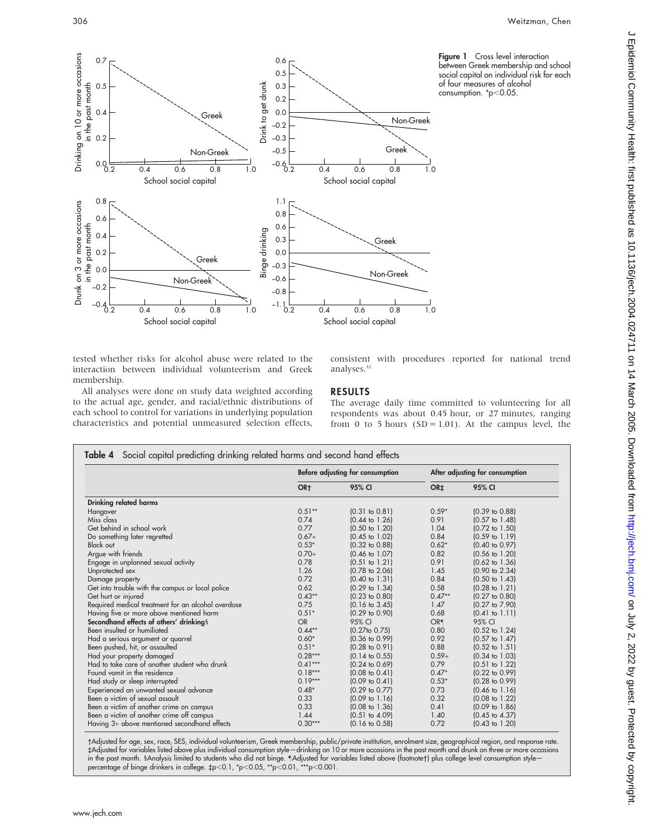

Figure 1 Cross level interaction between Greek membership and school social capital on individual risk for each of four measures of alcohol consumption. \*p<0.05.

tested whether risks for alcohol abuse were related to the interaction between individual volunteerism and Greek membership.

All analyses were done on study data weighted according to the actual age, gender, and racial/ethnic distributions of each school to control for variations in underlying population characteristics and potential unmeasured selection effects,

consistent with procedures reported for national trend analyses.<sup>32</sup>

#### RESULTS

The average daily time committed to volunteering for all respondents was about 0.45 hour, or 27 minutes, ranging from 0 to 5 hours ( $SD = 1.01$ ). At the campus level, the

|                                                    |                 | Before adjusting for consumption |                 | After adjusting for consumption |  |  |
|----------------------------------------------------|-----------------|----------------------------------|-----------------|---------------------------------|--|--|
|                                                    | OR <sub>†</sub> | 95% CI                           | OR <sub>‡</sub> | 95% CI                          |  |  |
| Drinking related harms                             |                 |                                  |                 |                                 |  |  |
| Hangover                                           | $0.51**$        | $(0.31$ to $0.81)$               | $0.59*$         | $(0.39$ to $0.88)$              |  |  |
| Miss class                                         | 0.74            | $(0.44 \text{ to } 1.26)$        | 0.91            | $(0.57 \text{ to } 1.48)$       |  |  |
| Get behind in school work                          | 0.77            | $(0.50 \text{ to } 1.20)$        | 1.04            | $(0.72 \text{ to } 1.50)$       |  |  |
| Do something later regretted                       | $0.67+$         | $(0.45 \text{ to } 1.02)$        | 0.84            | $(0.59 \text{ to } 1.19)$       |  |  |
| Black out                                          | $0.53*$         | $(0.32 \text{ to } 0.88)$        | $0.62*$         | $(0.40 \text{ to } 0.97)$       |  |  |
| Arque with friends                                 | $0.70+$         | $(0.46 \text{ to } 1.07)$        | 0.82            | $(0.56 \text{ to } 1.20)$       |  |  |
| Engage in unplanned sexual activity                | 0.78            | $(0.51$ to $1.21)$               | 0.91            | $(0.62 \text{ to } 1.36)$       |  |  |
| Unprotected sex                                    | 1.26            | (0.78 to 2.06)                   | 1.45            | (0.90 to 2.34)                  |  |  |
| Damage property                                    | 0.72            | $(0.40 \text{ to } 1.31)$        | 0.84            | $(0.50 \text{ to } 1.43)$       |  |  |
| Get into trouble with the campus or local police   | 0.62            | $(0.29 \text{ to } 1.34)$        | 0.58            | $(0.28 \text{ to } 1.21)$       |  |  |
| Get hurt or injured                                | $0.43**$        | $(0.23 \text{ to } 0.80)$        | $0.47**$        | $(0.27$ to $0.80)$              |  |  |
| Required medical treatment for an alcohol overdose | 0.75            | $(0.16 \text{ to } 3.45)$        | 1.47            | $(0.27$ to $7.90)$              |  |  |
| Having five or more above mentioned harm           | $0.51*$         | $(0.29 \text{ to } 0.90)$        | 0.68            | $(0.41$ to $1.11)$              |  |  |
| Secondhand effects of others' drinkings            | <b>OR</b>       | 95% CI                           | <b>OR</b> ¶     | 95% CI                          |  |  |
| Been insulted or humiliated                        | $0.44**$        | (0.27 <sub>to</sub> 0.75)        | 0.80            | $(0.52 \text{ to } 1.24)$       |  |  |
| Had a serious argument or quarrel                  | $0.60*$         | $(0.36 \text{ to } 0.99)$        | 0.92            | $(0.57 \text{ to } 1.47)$       |  |  |
| Been pushed, hit, or assaulted                     | $0.51*$         | $(0.28 \text{ to } 0.91)$        | 0.88            | $(0.52 \text{ to } 1.51)$       |  |  |
| Had your property damaged                          | $0.28***$       | $(0.14 \text{ to } 0.55)$        | $0.59+$         | $(0.34 \text{ to } 1.03)$       |  |  |
| Had to take care of another student who drunk      | $0.41***$       | $(0.24 \text{ to } 0.69)$        | 0.79            | $(0.51$ to $1.22)$              |  |  |
| Found vomit in the residence                       | $0.18***$       | $(0.08 \text{ to } 0.41)$        | $0.47*$         | $(0.22 \text{ to } 0.99)$       |  |  |
| Had study or sleep interrupted                     | $0.19***$       | $(0.09 \text{ to } 0.41)$        | $0.53*$         | $(0.28 \text{ to } 0.99)$       |  |  |
| Experienced an unwanted sexual advance             | $0.48*$         | $(0.29 \text{ to } 0.77)$        | 0.73            | $(0.46 \text{ to } 1.16)$       |  |  |
| Been a victim of sexual assault                    | 0.33            | $(0.09 \text{ to } 1.16)$        | 0.32            | $(0.08 \text{ to } 1.22)$       |  |  |
| Been a victim of another crime on campus           | 0.33            | $(0.08 \text{ to } 1.36)$        | 0.41            | $(0.09 \text{ to } 1.86)$       |  |  |
| Been a victim of another crime off campus          | 1.44            | $(0.51$ to $4.09$ )              | 1.40            | $(0.45 \text{ to } 4.37)$       |  |  |
| Having 3+ above mentioned secondhand effects       | $0.30***$       | $(0.16 \text{ to } 0.58)$        | 0.72            | $(0.43 \text{ to } 1.20)$       |  |  |

Adjusted for age, sex, race, SES, individual volunteerism, Greek membership, public/private institution, enrolment size, geographical region, and response rate. `Adjusted for variables listed above plus individual consumption style—drinking on 10 or more occasions in the past month and drunk on three or more occasions in the past month. §Analysis limited to students who did not binge. ¶Adjusted for variables listed above (footnote†) plus college level consumption style percentage of binge drinkers in college.  $tp<0.1$ , \*p $<$ 0.05, \*\*p $<$ 0.01, \*\*\*p $<$ 0.001.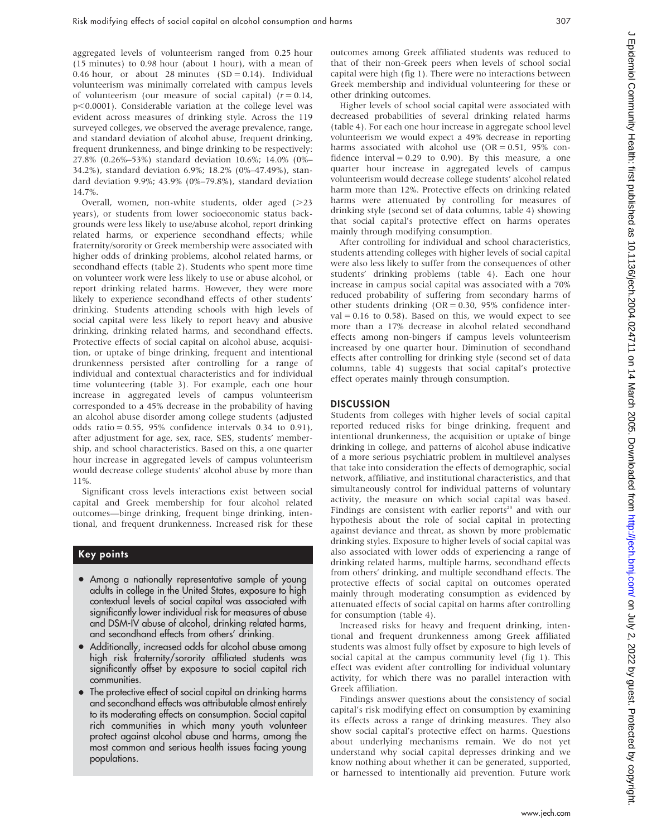aggregated levels of volunteerism ranged from 0.25 hour (15 minutes) to 0.98 hour (about 1 hour), with a mean of 0.46 hour, or about 28 minutes  $(SD = 0.14)$ . Individual volunteerism was minimally correlated with campus levels of volunteerism (our measure of social capital)  $(r = 0.14,$ p<0.0001). Considerable variation at the college level was evident across measures of drinking style. Across the 119 surveyed colleges, we observed the average prevalence, range, and standard deviation of alcohol abuse, frequent drinking, frequent drunkenness, and binge drinking to be respectively: 27.8% (0.26%–53%) standard deviation 10.6%; 14.0% (0%– 34.2%), standard deviation 6.9%; 18.2% (0%–47.49%), standard deviation 9.9%; 43.9% (0%–79.8%), standard deviation 14.7%.

Overall, women, non-white students, older aged  $(>23)$ years), or students from lower socioeconomic status backgrounds were less likely to use/abuse alcohol, report drinking related harms, or experience secondhand effects; while fraternity/sorority or Greek membership were associated with higher odds of drinking problems, alcohol related harms, or secondhand effects (table 2). Students who spent more time on volunteer work were less likely to use or abuse alcohol, or report drinking related harms. However, they were more likely to experience secondhand effects of other students' drinking. Students attending schools with high levels of social capital were less likely to report heavy and abusive drinking, drinking related harms, and secondhand effects. Protective effects of social capital on alcohol abuse, acquisition, or uptake of binge drinking, frequent and intentional drunkenness persisted after controlling for a range of individual and contextual characteristics and for individual time volunteering (table 3). For example, each one hour increase in aggregated levels of campus volunteerism corresponded to a 45% decrease in the probability of having an alcohol abuse disorder among college students (adjusted odds ratio =  $0.55$ ,  $95\%$  confidence intervals  $0.34$  to  $0.91$ ), after adjustment for age, sex, race, SES, students' membership, and school characteristics. Based on this, a one quarter hour increase in aggregated levels of campus volunteerism would decrease college students' alcohol abuse by more than 11%.

Significant cross levels interactions exist between social capital and Greek membership for four alcohol related outcomes—binge drinking, frequent binge drinking, intentional, and frequent drunkenness. Increased risk for these

#### Key points

- Among a nationally representative sample of young adults in college in the United States, exposure to high contextual levels of social capital was associated with significantly lower individual risk for measures of abuse and DSM-IV abuse of alcohol, drinking related harms, and secondhand effects from others' drinking.
- Additionally, increased odds for alcohol abuse among high risk fraternity/sorority affiliated students was significantly offset by exposure to social capital rich communities.
- $\bullet$  The protective effect of social capital on drinking harms and secondhand effects was attributable almost entirely to its moderating effects on consumption. Social capital rich communities in which many youth volunteer protect against alcohol abuse and harms, among the most common and serious health issues facing young populations.

outcomes among Greek affiliated students was reduced to that of their non-Greek peers when levels of school social capital were high (fig 1). There were no interactions between Greek membership and individual volunteering for these or other drinking outcomes.

Higher levels of school social capital were associated with decreased probabilities of several drinking related harms (table 4). For each one hour increase in aggregate school level volunteerism we would expect a 49% decrease in reporting harms associated with alcohol use  $(OR = 0.51, 95\%$  confidence interval =  $0.29$  to  $0.90$ ). By this measure, a one quarter hour increase in aggregated levels of campus volunteerism would decrease college students' alcohol related harm more than 12%. Protective effects on drinking related harms were attenuated by controlling for measures of drinking style (second set of data columns, table 4) showing that social capital's protective effect on harms operates mainly through modifying consumption.

After controlling for individual and school characteristics, students attending colleges with higher levels of social capital were also less likely to suffer from the consequences of other students' drinking problems (table 4). Each one hour increase in campus social capital was associated with a 70% reduced probability of suffering from secondary harms of other students drinking ( $OR = 0.30$ , 95% confidence inter $val = 0.16$  to 0.58). Based on this, we would expect to see more than a 17% decrease in alcohol related secondhand effects among non-bingers if campus levels volunteerism increased by one quarter hour. Diminution of secondhand effects after controlling for drinking style (second set of data columns, table 4) suggests that social capital's protective effect operates mainly through consumption.

#### **DISCUSSION**

Students from colleges with higher levels of social capital reported reduced risks for binge drinking, frequent and intentional drunkenness, the acquisition or uptake of binge drinking in college, and patterns of alcohol abuse indicative of a more serious psychiatric problem in multilevel analyses that take into consideration the effects of demographic, social network, affiliative, and institutional characteristics, and that simultaneously control for individual patterns of voluntary activity, the measure on which social capital was based. Findings are consistent with earlier reports<sup>23</sup> and with our hypothesis about the role of social capital in protecting against deviance and threat, as shown by more problematic drinking styles. Exposure to higher levels of social capital was also associated with lower odds of experiencing a range of drinking related harms, multiple harms, secondhand effects from others' drinking, and multiple secondhand effects. The protective effects of social capital on outcomes operated mainly through moderating consumption as evidenced by attenuated effects of social capital on harms after controlling for consumption (table 4).

Increased risks for heavy and frequent drinking, intentional and frequent drunkenness among Greek affiliated students was almost fully offset by exposure to high levels of social capital at the campus community level (fig 1). This effect was evident after controlling for individual voluntary activity, for which there was no parallel interaction with Greek affiliation.

Findings answer questions about the consistency of social capital's risk modifying effect on consumption by examining its effects across a range of drinking measures. They also show social capital's protective effect on harms. Questions about underlying mechanisms remain. We do not yet understand why social capital depresses drinking and we know nothing about whether it can be generated, supported, or harnessed to intentionally aid prevention. Future work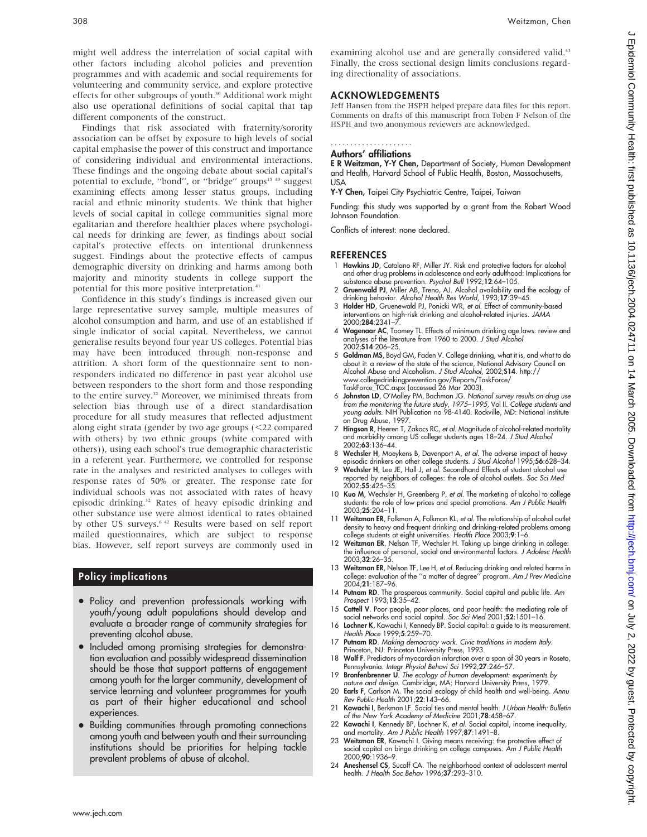$\subset$ 

might well address the interrelation of social capital with other factors including alcohol policies and prevention programmes and with academic and social requirements for volunteering and community service, and explore protective effects for other subgroups of youth.<sup>30</sup> Additional work might also use operational definitions of social capital that tap different components of the construct.

Findings that risk associated with fraternity/sorority association can be offset by exposure to high levels of social capital emphasise the power of this construct and importance of considering individual and environmental interactions. These findings and the ongoing debate about social capital's potential to exclude, "bond", or "bridge" groups<sup>15 40</sup> suggest examining effects among lesser status groups, including racial and ethnic minority students. We think that higher levels of social capital in college communities signal more egalitarian and therefore healthier places where psychological needs for drinking are fewer, as findings about social capital's protective effects on intentional drunkenness suggest. Findings about the protective effects of campus demographic diversity on drinking and harms among both majority and minority students in college support the potential for this more positive interpretation.<sup>41</sup>

Confidence in this study's findings is increased given our large representative survey sample, multiple measures of alcohol consumption and harm, and use of an established if single indicator of social capital. Nevertheless, we cannot generalise results beyond four year US colleges. Potential bias may have been introduced through non-response and attrition. A short form of the questionnaire sent to nonresponders indicated no difference in past year alcohol use between responders to the short form and those responding to the entire survey.<sup>32</sup> Moreover, we minimised threats from selection bias through use of a direct standardisation procedure for all study measures that reflected adjustment along eight strata (gender by two age groups  $\langle$  <22 compared with others) by two ethnic groups (white compared with others)), using each school's true demographic characteristic in a referent year. Furthermore, we controlled for response rate in the analyses and restricted analyses to colleges with response rates of 50% or greater. The response rate for individual schools was not associated with rates of heavy episodic drinking.<sup>32</sup> Rates of heavy episodic drinking and other substance use were almost identical to rates obtained by other US surveys.<sup>6 42</sup> Results were based on self report mailed questionnaires, which are subject to response bias. However, self report surveys are commonly used in

### Policy implications

- Policy and prevention professionals working with youth/young adult populations should develop and evaluate a broader range of community strategies for preventing alcohol abuse.
- Included among promising strategies for demonstration evaluation and possibly widespread dissemination should be those that support patterns of engagement among youth for the larger community, development of service learning and volunteer programmes for youth as part of their higher educational and school experiences.
- $\bullet$  Building communities through promoting connections among youth and between youth and their surrounding institutions should be priorities for helping tackle prevalent problems of abuse of alcohol.

examining alcohol use and are generally considered valid.<sup>43</sup> Finally, the cross sectional design limits conclusions regarding directionality of associations.

### ACKNOWLEDGEMENTS

Jeff Hansen from the HSPH helped prepare data files for this report. Comments on drafts of this manuscript from Toben F Nelson of the HSPH and two anonymous reviewers are acknowledged.

#### Authors' affiliations .....................

E R Weitzman, Y-Y Chen, Department of Society, Human Development and Health, Harvard School of Public Health, Boston, Massachusetts, USA

Y-Y Chen, Taipei City Psychiatric Centre, Taipei, Taiwan

Funding: this study was supported by a grant from the Robert Wood Johnson Foundation.

Conflicts of interest: none declared.

#### **REFERENCES**

- 1 Hawkins JD, Catalano RF, Miller JY. Risk and protective factors for alcohol and other drug problems in adolescence and early adulthood: Implications for substance abuse prevention. Psychol Bull 1992;12:64-105.
- 2 Gruenwald PJ, Miller AB, Treno, AJ. Alcohol availability and the ecology of drinking behavior. Alcohol Health Res World, 1993;17:39–45.
- 3 Holder HD, Gruenewald PJ, Ponicki WR, et al. Effect of community-based interventions on high-risk drinking and alcohol-related injuries. JAMA 2000;284:2341–7.
- 4 Wagenaar AC, Toomey TL. Effects of minimum drinking age laws: review and analyses of the literature from 1960 to 2000. J Stud Alcohol  $2002:514:206-25$
- 5 Goldman MS, Boyd GM, Faden V. College drinking, what it is, and what to do about it: a review of the state of the science, National Advisory Council on<br>Alcohol Abuse and Alcoholism. *J Stud Alcohol,* 2002;**S14**. http:// www.collegedrinkingprevention.gov/Reports/TaskForce/ TaskForce\_TOC.aspx (accessed 26 Mar 2003).
- 6 Johnston LD, O'Malley PM, Bachman JG. National survey results on drug use from the monitoring the future study, 1975–1995, Vol II. College students and young adults. NIH Publication no 98-4140. Rockville, MD: National Institute on Drug Abuse, 1997.
- 7 Hingson R, Heeren T, Zakocs RC, et al. Magnitude of alcohol-related mortality and morbidity among US college students ages 18–24. J Stud Alcohol 2002;63:136–44.
- 8 Wechsler H, Moeykens B, Davenport A, et al. The adverse impact of heavy episodic drinkers on other college students. J Stud Alcohol 1995;56:628–34.
- 9 Wechsler H, Lee JE, Hall J, et al. Secondhand Effects of student alcohol use reported by neighbors of colleges: the role of alcohol outlets. Soc Sci Med 2002;55:425–35.
- 10 Kuo M, Wechsler H, Greenberg P, et al. The marketing of alcohol to college students: the role of low prices and special promotions. Am J Public Health 2003;25:204–11.
- Weitzman ER, Folkman A, Folkman KL, et al. The relationship of alcohol outlet density to heavy and frequent drinking and drinking-related problems among<br>college students at eight universities. *Health Place* 2003;9:1–6.
- 12 Weitzman ER, Nelson TF, Wechsler H. Taking up binge drinking in college: the influence of personal, social and environmental factors. J Adolesc Health 2003;32:26–35.
- 13 Weitzman ER, Nelson TF, Lee H, et al. Reducing drinking and related harms in college: evaluation of the ''a matter of degree'' program. Am J Prev Medicine 2004;21:187–96.
- 14 Putnam RD. The prosperous community. Social capital and public life. Am Prospect 1993;13:35–42.
- 15 Cattell V. Poor people, poor places, and poor health: the mediating role of<br>social networks and social capital. Soc Sci Med 2001;52:1501–16.<br>16 Lochner K, Kawachi I, Kennedy BP. Social capital: a guide to its measuremen
- Health Place 1999;5:259–70.
- Putnam RD. Making democracy work. Civic traditions in modern Italy. Princeton, NJ: Princeton University Press, 1993.
- 18 Wolf F. Predictors of myocardian infarction over a span of 30 years in Roseto, Pennsylvania. Integr Physiol Behavi Sci 1992;27:246–57.
- 19 **Bronfenbrenner U**. The ecology of human development: experiments by nature and design. Cambridge, MA: Harvard University Press, 1979. 20 Earls F, Carlson M. The social ecology of child health and well-being. Annu
- Rev Public Health 2001;22:143–66.
- 21 Kawachi I, Berkman LF. Social ties and mental health. J Urban Health: Bulletin of the New York Academy of Medicine 2001;78:458–67.
- 22 Kawachi I, Kennedy BP, Lochner K, et al. Social capital, income inequality, and mortality. Am J Public Health 1997;87:1491–8.
- 23 Weitzman ER, Kawachi I. Giving means receiving: the protective effect of social capital on binge drinking on college campuses. A*m J Public Health*<br>2000;**90**:1936–9.
- 24 Aneshensel CS, Sucoff CA. The neighborhood context of adolescent mental health. J Health Soc Behav 1996;37:293–310.